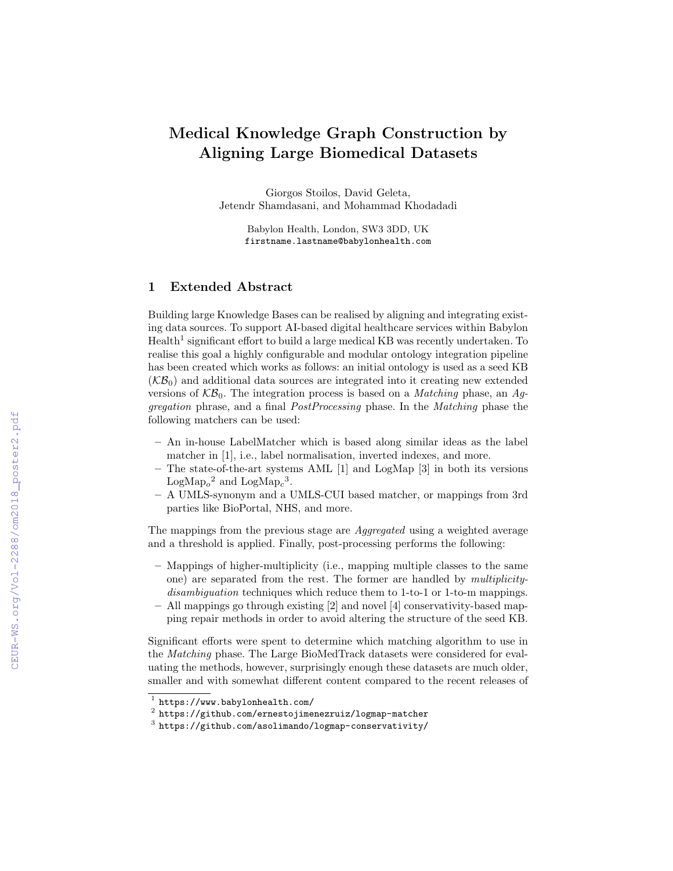## Medical Knowledge Graph Construction by Aligning Large Biomedical Datasets

Giorgos Stoilos, David Geleta, Jetendr Shamdasani, and Mohammad Khodadadi

> Babylon Health, London, SW3 3DD, UK firstname.lastname@babylonhealth.com

## 1 Extended Abstract

Building large Knowledge Bases can be realised by aligning and integrating existing data sources. To support AI-based digital healthcare services within Babylon  $\text{Health}^1$  significant effort to build a large medical KB was recently undertaken. To realise this goal a highly configurable and modular ontology integration pipeline has been created which works as follows: an initial ontology is used as a seed KB  $(KB_0)$  and additional data sources are integrated into it creating new extended versions of  $K\mathcal{B}_0$ . The integration process is based on a *Matching* phase, an Aggregation phrase, and a final PostProcessing phase. In the Matching phase the following matchers can be used:

- An in-house LabelMatcher which is based along similar ideas as the label matcher in [1], i.e., label normalisation, inverted indexes, and more.
- The state-of-the-art systems AML [1] and LogMap [3] in both its versions  $\text{LogMap}_o^2$  and  $\text{LogMap}_c^3$ .
- A UMLS-synonym and a UMLS-CUI based matcher, or mappings from 3rd parties like BioPortal, NHS, and more.

The mappings from the previous stage are Aggregated using a weighted average and a threshold is applied. Finally, post-processing performs the following:

- Mappings of higher-multiplicity (i.e., mapping multiple classes to the same one) are separated from the rest. The former are handled by multiplicitydisambiguation techniques which reduce them to 1-to-1 or 1-to-m mappings.
- All mappings go through existing [2] and novel [4] conservativity-based mapping repair methods in order to avoid altering the structure of the seed KB.

Significant efforts were spent to determine which matching algorithm to use in the Matching phase. The Large BioMedTrack datasets were considered for evaluating the methods, however, surprisingly enough these datasets are much older, smaller and with somewhat different content compared to the recent releases of

<sup>1</sup> https://www.babylonhealth.com/

 $^2$  https://github.com/ernestojimenezruiz/logmap-matcher

 $^3$  https://github.com/asolimando/logmap-conservativity/